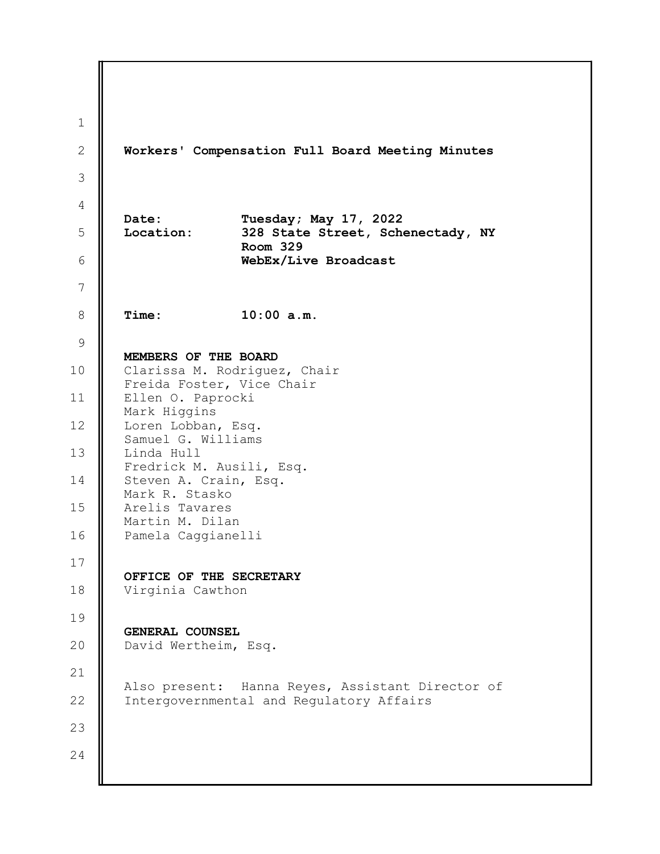1 2 3 4 5 6 7 8 9 10 11 12 13 14 15 16 17 18 19 20 21 22 23 24 Workers' Compensation Full Board Meeting Minutes Date: Tuesday; May 17, 2022 Location: 328 State Street, Schenectady, NY Room 329 WebEx/Live Broadcast Time: 10:00 a.m. MEMBERS OF THE BOARD Clarissa M. Rodriguez, Chair Freida Foster, Vice Chair Ellen O. Paprocki Mark Higgins Loren Lobban, Esq. Samuel G. Williams Linda Hull Fredrick M. Ausili, Esq. Steven A. Crain, Esq. Mark R. Stasko Arelis Tavares Martin M. Dilan Pamela Caggianelli OFFICE OF THE SECRETARY Virginia Cawthon GENERAL COUNSEL David Wertheim, Esq. Also present: Hanna Reyes, Assistant Director of Intergovernmental and Regulatory Affairs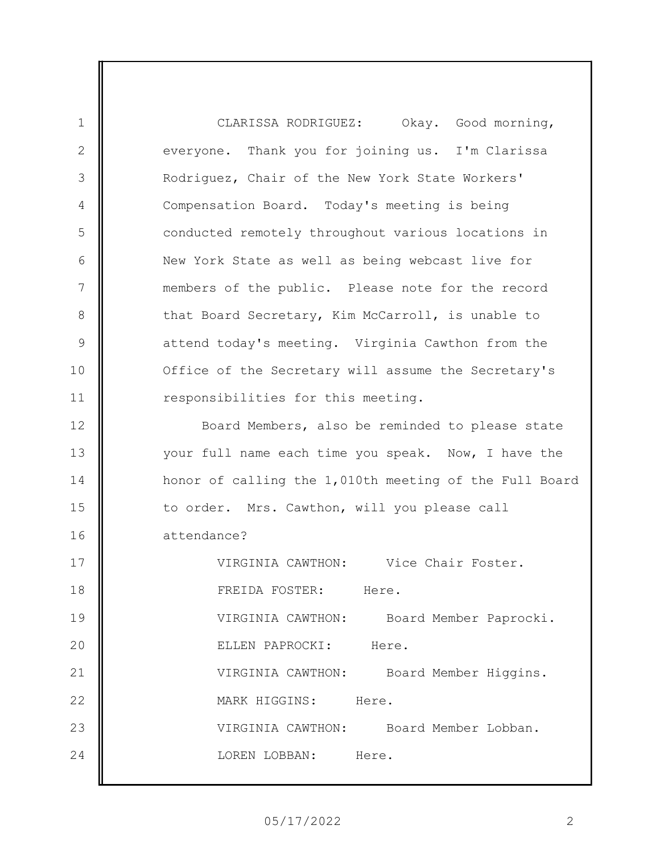CLARISSA RODRIGUEZ: Okay. Good morning, everyone. Thank you for joining us. I'm Clarissa Rodriguez, Chair of the New York State Workers' Compensation Board. Today's meeting is being conducted remotely throughout various locations in New York State as well as being webcast live for members of the public. Please note for the record that Board Secretary, Kim McCarroll, is unable to attend today's meeting. Virginia Cawthon from the Office of the Secretary will assume the Secretary's responsibilities for this meeting.

1

2

3

4

5

6

7

8

9

10

11

12 13 14 15 16 Board Members, also be reminded to please state your full name each time you speak. Now, I have the honor of calling the 1,010th meeting of the Full Board to order. Mrs. Cawthon, will you please call attendance?

17 18 19 20 21 22 23 24 VIRGINIA CAWTHON: Vice Chair Foster. FREIDA FOSTER: Here. VIRGINIA CAWTHON: Board Member Paprocki. ELLEN PAPROCKI: Here. VIRGINIA CAWTHON: Board Member Higgins. MARK HIGGINS: Here. VIRGINIA CAWTHON: Board Member Lobban. LOREN LOBBAN: Here.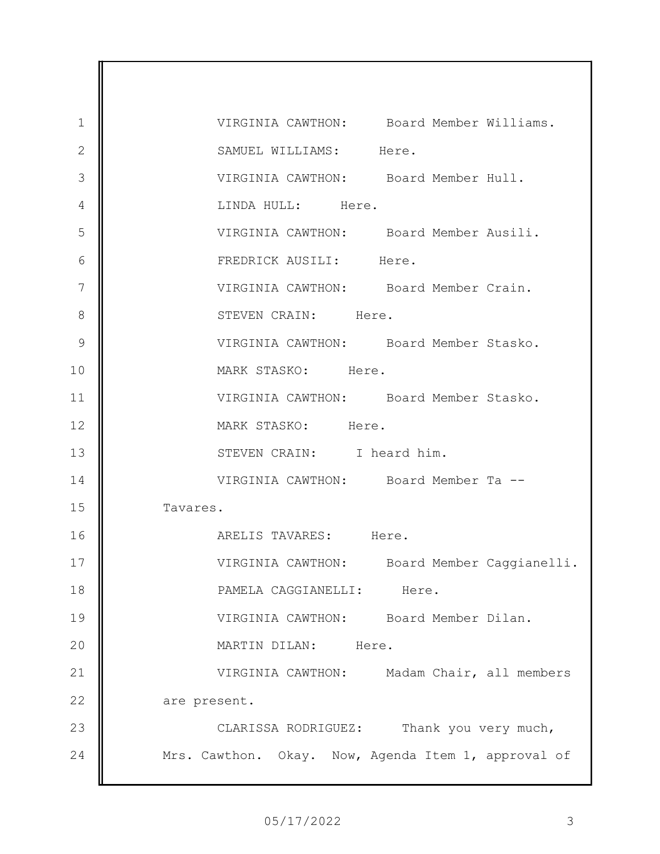1 2 3 4 5 6 7 8 9 10 11 12 13 14 15 16 17 18 19 20 21 22 23 24 VIRGINIA CAWTHON: Board Member Williams. SAMUEL WILLIAMS: Here. VIRGINIA CAWTHON: Board Member Hull. LINDA HULL: Here. VIRGINIA CAWTHON: Board Member Ausili. FREDRICK AUSILI: Here. VIRGINIA CAWTHON: Board Member Crain. STEVEN CRAIN: Here. VIRGINIA CAWTHON: Board Member Stasko. MARK STASKO: Here. VIRGINIA CAWTHON: Board Member Stasko. MARK STASKO: Here. STEVEN CRAIN: I heard him. VIRGINIA CAWTHON: Board Member Ta -- Tavares. ARELIS TAVARES: Here. VIRGINIA CAWTHON: Board Member Caggianelli. PAMELA CAGGIANELLI: Here. VIRGINIA CAWTHON: Board Member Dilan. MARTIN DILAN: Here. VIRGINIA CAWTHON: Madam Chair, all members are present. CLARISSA RODRIGUEZ: Thank you very much, Mrs. Cawthon. Okay. Now, Agenda Item 1, approval of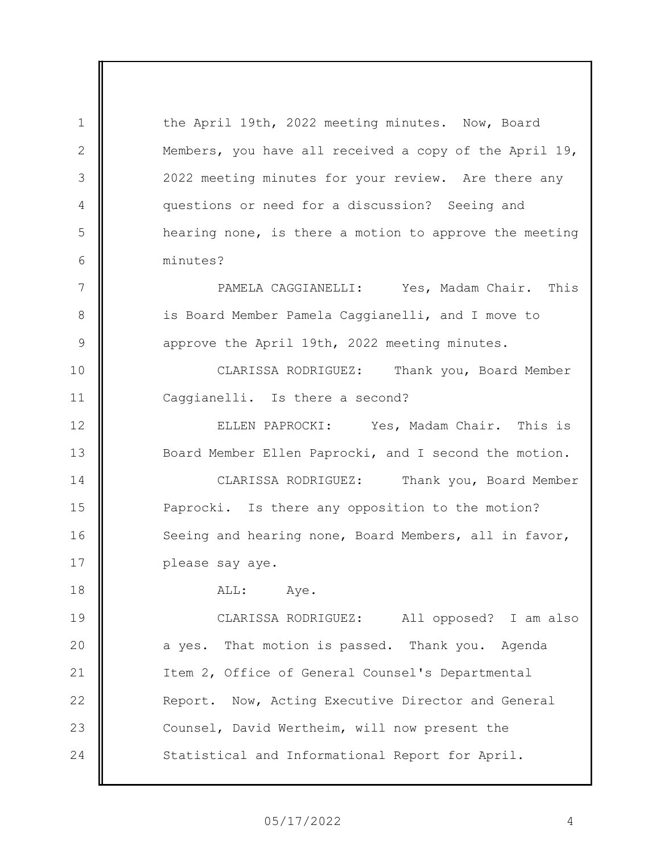the April 19th, 2022 meeting minutes. Now, Board Members, you have all received a copy of the April 19, 2022 meeting minutes for your review. Are there any questions or need for a discussion? Seeing and hearing none, is there a motion to approve the meeting minutes?

1

2

3

4

5

6

7

8

9

10

11

PAMELA CAGGIANELLI: Yes, Madam Chair. This is Board Member Pamela Caggianelli, and I move to approve the April 19th, 2022 meeting minutes.

CLARISSA RODRIGUEZ: Thank you, Board Member Caggianelli. Is there a second?

12 13 14 15 16 17 ELLEN PAPROCKI: Yes, Madam Chair. This is Board Member Ellen Paprocki, and I second the motion. CLARISSA RODRIGUEZ: Thank you, Board Member Paprocki. Is there any opposition to the motion? Seeing and hearing none, Board Members, all in favor, please say aye.

18 19 20 21 22 23 24 ALL: Aye. CLARISSA RODRIGUEZ: All opposed? I am also a yes. That motion is passed. Thank you. Agenda Item 2, Office of General Counsel's Departmental Report. Now, Acting Executive Director and General Counsel, David Wertheim, will now present the Statistical and Informational Report for April.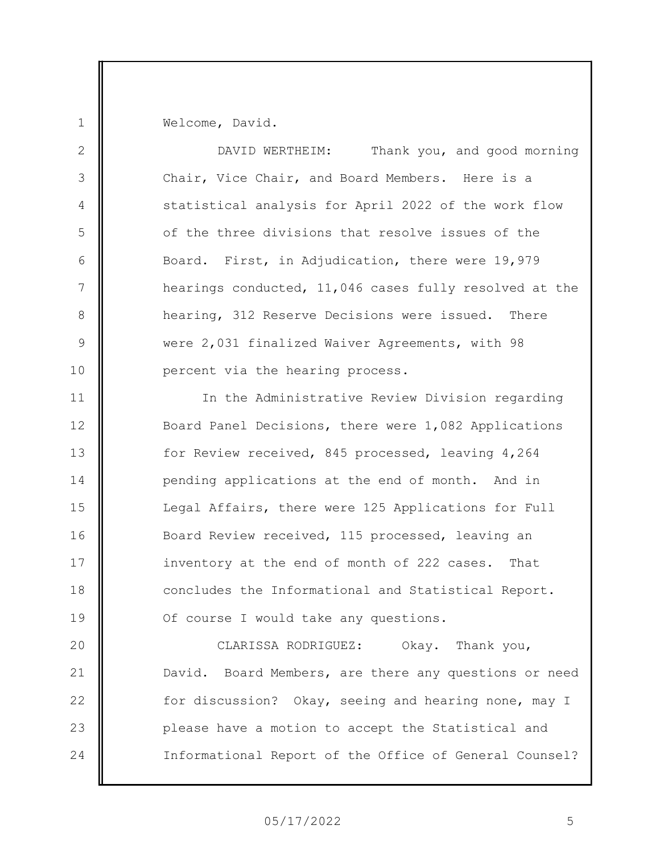Welcome, David.

1

2 3 4 5 6 7 8 9 10 11 12 13 14 15 16 17 18 19 20 21 22 23 24 DAVID WERTHEIM: Thank you, and good morning Chair, Vice Chair, and Board Members. Here is a statistical analysis for April 2022 of the work flow of the three divisions that resolve issues of the Board. First, in Adjudication, there were 19,979 hearings conducted, 11,046 cases fully resolved at the hearing, 312 Reserve Decisions were issued. There were 2,031 finalized Waiver Agreements, with 98 percent via the hearing process. In the Administrative Review Division regarding Board Panel Decisions, there were 1,082 Applications for Review received, 845 processed, leaving 4,264 pending applications at the end of month. And in Legal Affairs, there were 125 Applications for Full Board Review received, 115 processed, leaving an inventory at the end of month of 222 cases. That concludes the Informational and Statistical Report. Of course I would take any questions. CLARISSA RODRIGUEZ: Okay. Thank you, David. Board Members, are there any questions or need for discussion? Okay, seeing and hearing none, may I please have a motion to accept the Statistical and Informational Report of the Office of General Counsel?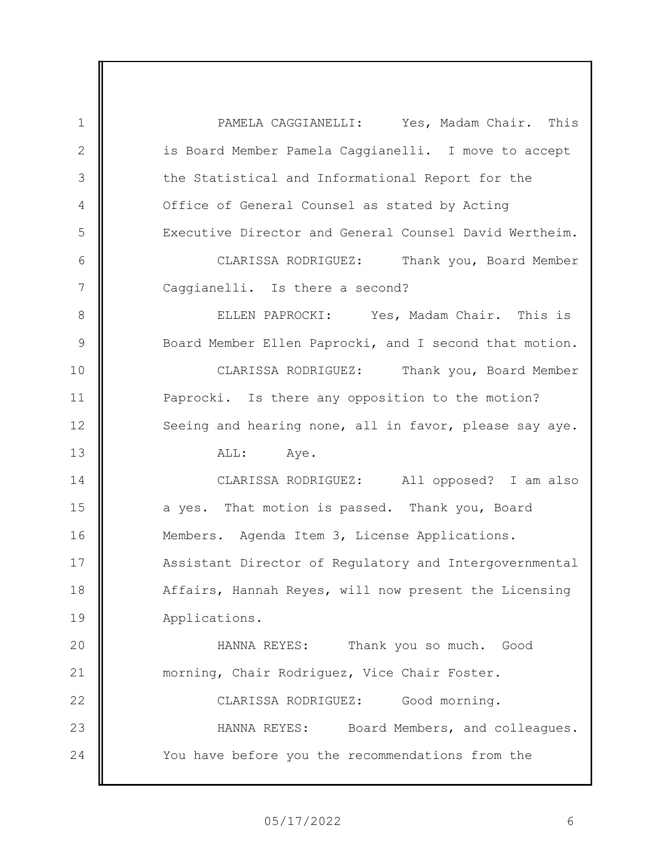1 2 3 4 5 6 7 8 9 10 11 12 13 14 15 16 17 18 19 20 21 22 23 24 PAMELA CAGGIANELLI: Yes, Madam Chair. This is Board Member Pamela Caggianelli. I move to accept the Statistical and Informational Report for the Office of General Counsel as stated by Acting Executive Director and General Counsel David Wertheim. CLARISSA RODRIGUEZ: Thank you, Board Member Caggianelli. Is there a second? ELLEN PAPROCKI: Yes, Madam Chair. This is Board Member Ellen Paprocki, and I second that motion. CLARISSA RODRIGUEZ: Thank you, Board Member Paprocki. Is there any opposition to the motion? Seeing and hearing none, all in favor, please say aye. ALL: Aye. CLARISSA RODRIGUEZ: All opposed? I am also a yes. That motion is passed. Thank you, Board Members. Agenda Item 3, License Applications. Assistant Director of Regulatory and Intergovernmental Affairs, Hannah Reyes, will now present the Licensing Applications. HANNA REYES: Thank you so much. Good morning, Chair Rodriguez, Vice Chair Foster. CLARISSA RODRIGUEZ: Good morning. HANNA REYES: Board Members, and colleagues. You have before you the recommendations from the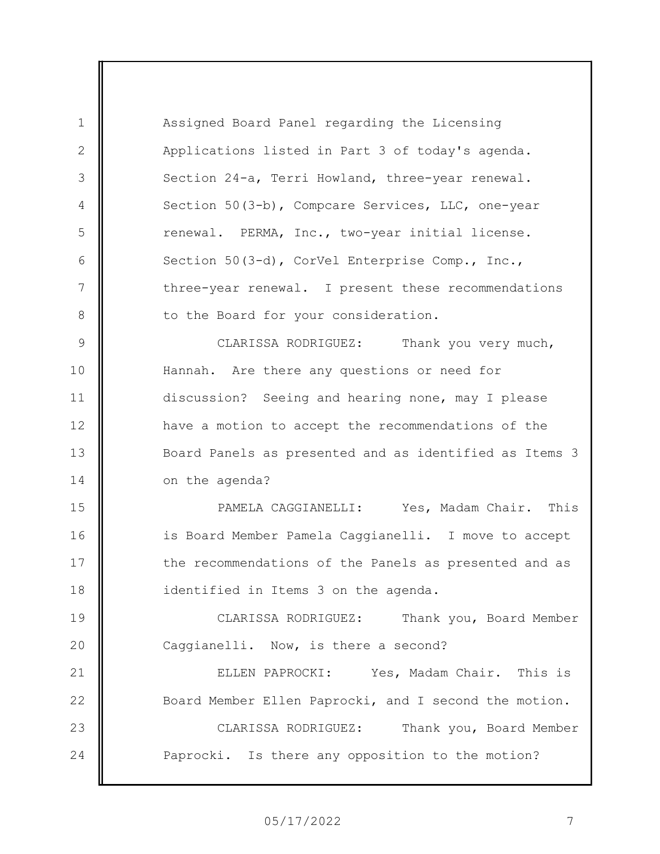1 2 3 4 5 6 7 8 9 10 11 12 13 14 15 16 17 18 19 20 21 22 23 24 Assigned Board Panel regarding the Licensing Applications listed in Part 3 of today's agenda. Section 24-a, Terri Howland, three-year renewal. Section 50(3-b), Compcare Services, LLC, one-year renewal. PERMA, Inc., two-year initial license. Section 50(3-d), CorVel Enterprise Comp., Inc., three-year renewal. I present these recommendations to the Board for your consideration. CLARISSA RODRIGUEZ: Thank you very much, Hannah. Are there any questions or need for discussion? Seeing and hearing none, may I please have a motion to accept the recommendations of the Board Panels as presented and as identified as Items 3 on the agenda? PAMELA CAGGIANELLI: Yes, Madam Chair. This is Board Member Pamela Caggianelli. I move to accept the recommendations of the Panels as presented and as identified in Items 3 on the agenda. CLARISSA RODRIGUEZ: Thank you, Board Member Caggianelli. Now, is there a second? ELLEN PAPROCKI: Yes, Madam Chair. This is Board Member Ellen Paprocki, and I second the motion. CLARISSA RODRIGUEZ: Thank you, Board Member Paprocki. Is there any opposition to the motion?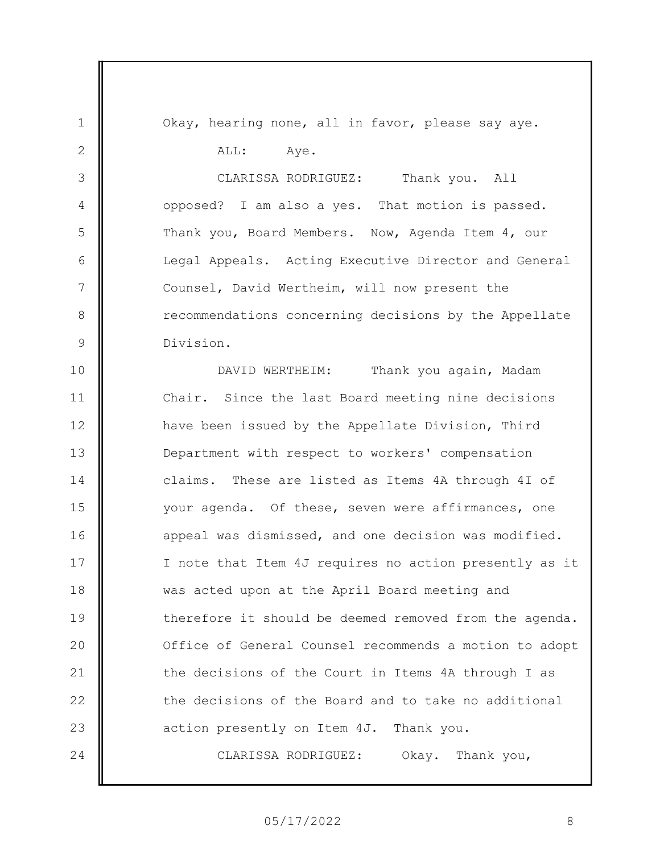1 2 3 4 5 6 7 8 9 10 11 12 13 14 15 16 17 18 19 20 21 22 23 24 Okay, hearing none, all in favor, please say aye. ALL: Aye. CLARISSA RODRIGUEZ: Thank you. All opposed? I am also a yes. That motion is passed. Thank you, Board Members. Now, Agenda Item 4, our Legal Appeals. Acting Executive Director and General Counsel, David Wertheim, will now present the recommendations concerning decisions by the Appellate Division. DAVID WERTHEIM: Thank you again, Madam Chair. Since the last Board meeting nine decisions have been issued by the Appellate Division, Third Department with respect to workers' compensation claims. These are listed as Items 4A through 4I of your agenda. Of these, seven were affirmances, one appeal was dismissed, and one decision was modified. I note that Item 4J requires no action presently as it was acted upon at the April Board meeting and therefore it should be deemed removed from the agenda. Office of General Counsel recommends a motion to adopt the decisions of the Court in Items 4A through I as the decisions of the Board and to take no additional action presently on Item 4J. Thank you. CLARISSA RODRIGUEZ: Okay. Thank you,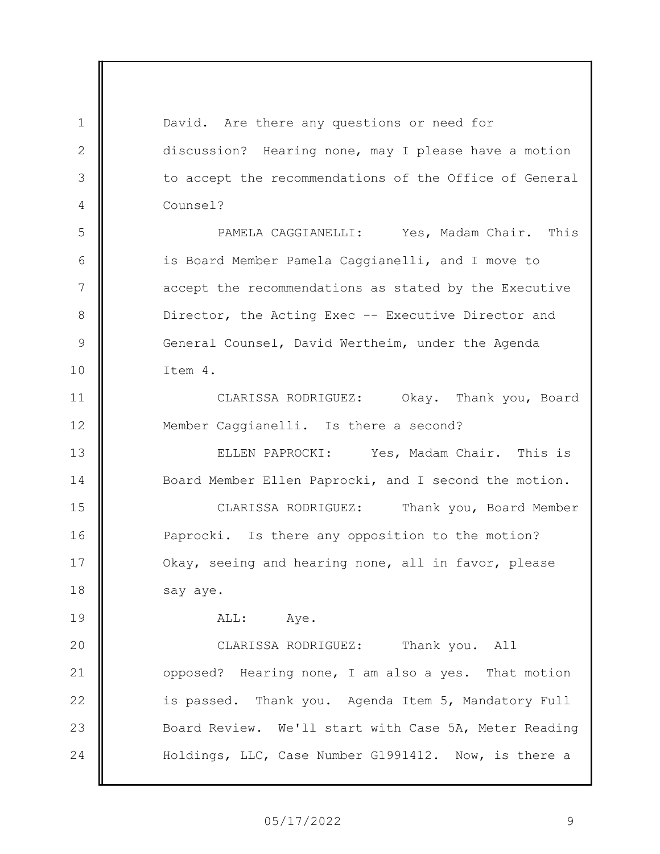1 2 3 4 5 6 7 8 9 10 11 12 13 14 15 16 17 18 19 20 21 22 23 24 David. Are there any questions or need for discussion? Hearing none, may I please have a motion to accept the recommendations of the Office of General Counsel? PAMELA CAGGIANELLI: Yes, Madam Chair. This is Board Member Pamela Caggianelli, and I move to accept the recommendations as stated by the Executive Director, the Acting Exec -- Executive Director and General Counsel, David Wertheim, under the Agenda Item 4. CLARISSA RODRIGUEZ: Okay. Thank you, Board Member Caggianelli. Is there a second? ELLEN PAPROCKI: Yes, Madam Chair. This is Board Member Ellen Paprocki, and I second the motion. CLARISSA RODRIGUEZ: Thank you, Board Member Paprocki. Is there any opposition to the motion? Okay, seeing and hearing none, all in favor, please say aye. ALL: Aye. CLARISSA RODRIGUEZ: Thank you. All opposed? Hearing none, I am also a yes. That motion is passed. Thank you. Agenda Item 5, Mandatory Full Board Review. We'll start with Case 5A, Meter Reading Holdings, LLC, Case Number G1991412. Now, is there a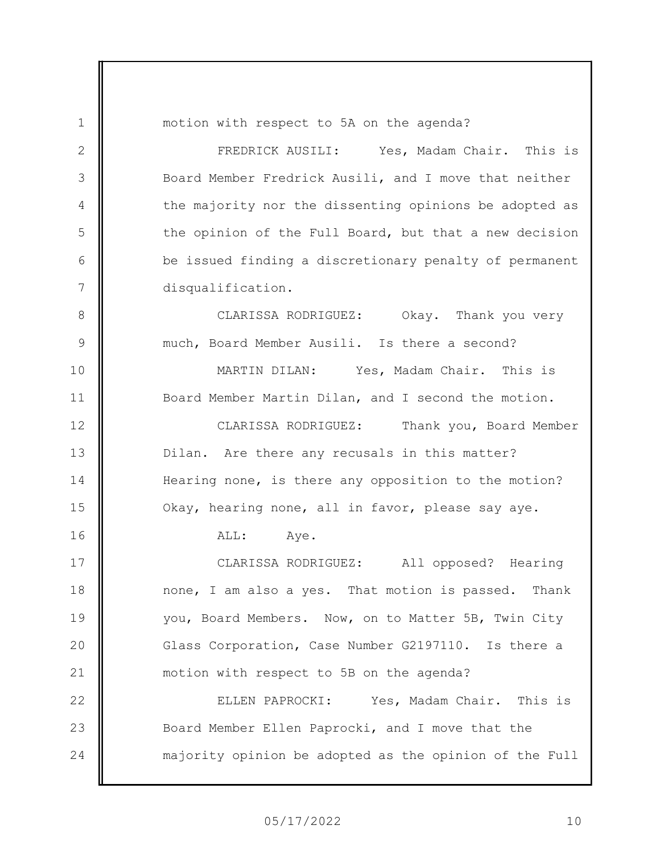1 2 3 4 5 6 7 8 9 10 11 12 13 14 15 16 17 18 19 20 21 22 23 24 motion with respect to 5A on the agenda? FREDRICK AUSILI: Yes, Madam Chair. This is Board Member Fredrick Ausili, and I move that neither the majority nor the dissenting opinions be adopted as the opinion of the Full Board, but that a new decision be issued finding a discretionary penalty of permanent disqualification. CLARISSA RODRIGUEZ: Okay. Thank you very much, Board Member Ausili. Is there a second? MARTIN DILAN: Yes, Madam Chair. This is Board Member Martin Dilan, and I second the motion. CLARISSA RODRIGUEZ: Thank you, Board Member Dilan. Are there any recusals in this matter? Hearing none, is there any opposition to the motion? Okay, hearing none, all in favor, please say aye. ALL: Aye. CLARISSA RODRIGUEZ: All opposed? Hearing none, I am also a yes. That motion is passed. Thank you, Board Members. Now, on to Matter 5B, Twin City Glass Corporation, Case Number G2197110. Is there a motion with respect to 5B on the agenda? ELLEN PAPROCKI: Yes, Madam Chair. This is Board Member Ellen Paprocki, and I move that the majority opinion be adopted as the opinion of the Full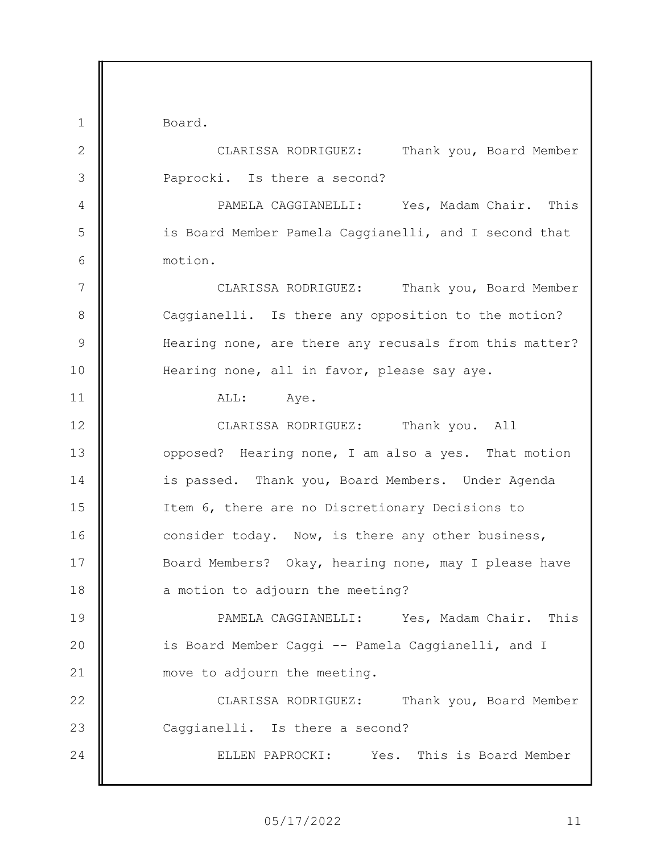Board.

1

2 3 4 5 6 7 8 9 10 11 12 13 14 15 16 17 18 19 20 21 22 23 24 CLARISSA RODRIGUEZ: Thank you, Board Member Paprocki. Is there a second? PAMELA CAGGIANELLI: Yes, Madam Chair. This is Board Member Pamela Caggianelli, and I second that motion. CLARISSA RODRIGUEZ: Thank you, Board Member Caggianelli. Is there any opposition to the motion? Hearing none, are there any recusals from this matter? Hearing none, all in favor, please say aye. ALL: Aye. CLARISSA RODRIGUEZ: Thank you. All opposed? Hearing none, I am also a yes. That motion is passed. Thank you, Board Members. Under Agenda Item 6, there are no Discretionary Decisions to consider today. Now, is there any other business, Board Members? Okay, hearing none, may I please have a motion to adjourn the meeting? PAMELA CAGGIANELLI: Yes, Madam Chair. This is Board Member Caggi -- Pamela Caggianelli, and I move to adjourn the meeting. CLARISSA RODRIGUEZ: Thank you, Board Member Caggianelli. Is there a second? ELLEN PAPROCKI: Yes. This is Board Member